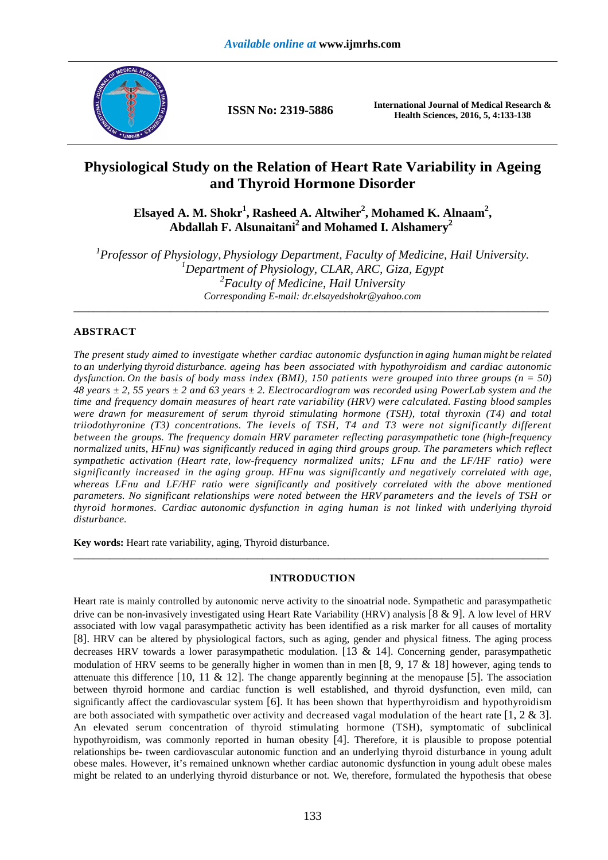

**ISSN No: 2319-5886 International Journal of Medical Research & Health Sciences, 2016, 5, 4:133-138** 

# **Physiological Study on the Relation of Heart Rate Variability in Ageing and Thyroid Hormone Disorder**

**Elsayed A. M. Shokr<sup>1</sup> , Rasheed A. Altwiher<sup>2</sup> , Mohamed K. Alnaam<sup>2</sup> , Abdallah F. Alsunaitani<sup>2</sup>and Mohamed I. Alshamery<sup>2</sup>**

*1 Professor of Physiology, Physiology Department, Faculty of Medicine, Hail University. <sup>1</sup>Department of Physiology, CLAR, ARC, Giza, Egypt 2 Faculty of Medicine, Hail University Corresponding E-mail: dr.elsayedshokr@yahoo.com*  \_\_\_\_\_\_\_\_\_\_\_\_\_\_\_\_\_\_\_\_\_\_\_\_\_\_\_\_\_\_\_\_\_\_\_\_\_\_\_\_\_\_\_\_\_\_\_\_\_\_\_\_\_\_\_\_\_\_\_\_\_\_\_\_\_\_\_\_\_\_\_\_\_\_\_\_\_\_\_\_\_\_\_\_\_\_\_\_\_\_\_\_\_

# **ABSTRACT**

*The present study aimed to investigate whether cardiac autonomic dysfunction in aging human might be related to an underlying thyroid disturbance. ageing has been associated with hypothyroidism and cardiac autonomic dysfunction. On the basis of body mass index (BMI), 150 patients were grouped into three groups (n = 50) 48 years ± 2, 55 years ± 2 and 63 years ± 2. Electrocardiogram was recorded using PowerLab system and the time and frequency domain measures of heart rate variability (HRV) were calculated. Fasting blood samples were drawn for measurement of serum thyroid stimulating hormone (TSH), total thyroxin (T4) and total triiodothyronine (T3) concentrations. The levels of TSH, T4 and T3 were not significantly different between the groups. The frequency domain HRV parameter reflecting parasympathetic tone (high-frequency normalized units, HFnu) was significantly reduced in aging third groups group. The parameters which reflect sympathetic activation (Heart rate, low-frequency normalized units; LFnu and the LF/HF ratio) were significantly increased in the aging group. HFnu was significantly and negatively correlated with age, whereas LFnu and LF/HF ratio were significantly and positively correlated with the above mentioned parameters. No significant relationships were noted between the HRV parameters and the levels of TSH or thyroid hormones. Cardiac autonomic dysfunction in aging human is not linked with underlying thyroid disturbance.* 

**Key words:** Heart rate variability, aging, Thyroid disturbance.

# **INTRODUCTION**

\_\_\_\_\_\_\_\_\_\_\_\_\_\_\_\_\_\_\_\_\_\_\_\_\_\_\_\_\_\_\_\_\_\_\_\_\_\_\_\_\_\_\_\_\_\_\_\_\_\_\_\_\_\_\_\_\_\_\_\_\_\_\_\_\_\_\_\_\_\_\_\_\_\_\_\_\_\_\_\_\_\_\_\_\_\_\_\_\_\_\_\_\_

Heart rate is mainly controlled by autonomic nerve activity to the sinoatrial node. Sympathetic and parasympathetic drive can be non-invasively investigated using Heart Rate Variability (HRV) analysis [8 & 9]. A low level of HRV associated with low vagal parasympathetic activity has been identified as a risk marker for all causes of mortality [8]. HRV can be altered by physiological factors, such as aging, gender and physical fitness. The aging process decreases HRV towards a lower parasympathetic modulation. [13  $\&$  14]. Concerning gender, parasympathetic modulation of HRV seems to be generally higher in women than in men [8, 9, 17  $\&$  18] however, aging tends to attenuate this difference  $[10, 11 \& 12]$ . The change apparently beginning at the menopause  $[5]$ . The association between thyroid hormone and cardiac function is well established, and thyroid dysfunction, even mild, can significantly affect the cardiovascular system [6]. It has been shown that hyperthyroidism and hypothyroidism are both associated with sympathetic over activity and decreased vagal modulation of the heart rate  $[1, 2 & 3]$ . An elevated serum concentration of thyroid stimulating hormone (TSH), symptomatic of subclinical hypothyroidism, was commonly reported in human obesity [4]. Therefore, it is plausible to propose potential relationships be- tween cardiovascular autonomic function and an underlying thyroid disturbance in young adult obese males. However, it's remained unknown whether cardiac autonomic dysfunction in young adult obese males might be related to an underlying thyroid disturbance or not. We, therefore, formulated the hypothesis that obese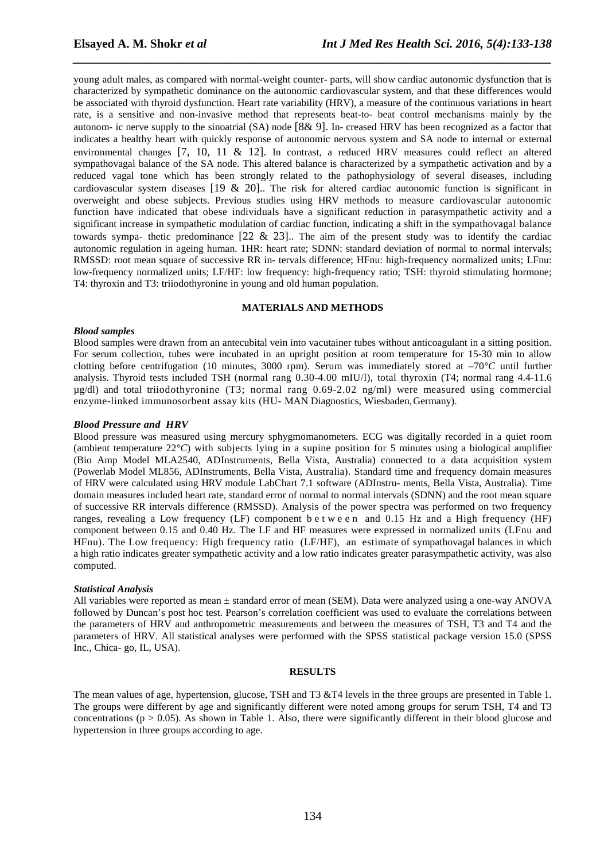young adult males, as compared with normal-weight counter- parts, will show cardiac autonomic dysfunction that is characterized by sympathetic dominance on the autonomic cardiovascular system, and that these differences would be associated with thyroid dysfunction. Heart rate variability (HRV), a measure of the continuous variations in heart rate, is a sensitive and non-invasive method that represents beat-to- beat control mechanisms mainly by the autonom- ic nerve supply to the sinoatrial (SA) node [8& 9]. In- creased HRV has been recognized as a factor that indicates a healthy heart with quickly response of autonomic nervous system and SA node to internal or external environmental changes [7, 10, 11 & 12]. In contrast, a reduced HRV measures could reflect an altered sympathovagal balance of the SA node. This altered balance is characterized by a sympathetic activation and by a reduced vagal tone which has been strongly related to the pathophysiology of several diseases, including cardiovascular system diseases [19 & 20].. The risk for altered cardiac autonomic function is significant in overweight and obese subjects. Previous studies using HRV methods to measure cardiovascular autonomic function have indicated that obese individuals have a significant reduction in parasympathetic activity and a significant increase in sympathetic modulation of cardiac function, indicating a shift in the sympathovagal balance towards sympa- thetic predominance  $[22 \& 23]$ . The aim of the present study was to identify the cardiac autonomic regulation in ageing human. 1HR: heart rate; SDNN: standard deviation of normal to normal intervals; RMSSD: root mean square of successive RR in- tervals difference; HFnu: high-frequency normalized units; LFnu: low-frequency normalized units; LF/HF: low frequency: high-frequency ratio; TSH: thyroid stimulating hormone; T4: thyroxin and T3: triiodothyronine in young and old human population.

*\_\_\_\_\_\_\_\_\_\_\_\_\_\_\_\_\_\_\_\_\_\_\_\_\_\_\_\_\_\_\_\_\_\_\_\_\_\_\_\_\_\_\_\_\_\_\_\_\_\_\_\_\_\_\_\_\_\_\_\_\_\_\_\_\_\_\_\_\_\_\_\_\_\_\_\_\_\_*

# **MATERIALS AND METHODS**

#### *Blood samples*

Blood samples were drawn from an antecubital vein into vacutainer tubes without anticoagulant in a sitting position. For serum collection, tubes were incubated in an upright position at room temperature for 15-30 min to allow clotting before centrifugation (10 minutes, 3000 rpm). Serum was immediately stored at –70*°C* until further analysis. Thyroid tests included TSH (normal rang 0.30-4.00 mIU/l), total thyroxin (T4; normal rang 4.4-11.6 µg/dl) and total triiodothyronine (T3; normal rang 0.69-2.02 ng/ml) were measured using commercial enzyme-linked immunosorbent assay kits (HU- MAN Diagnostics, Wiesbaden, Germany).

#### *Blood Pressure and HRV*

Blood pressure was measured using mercury sphygmomanometers. ECG was digitally recorded in a quiet room (ambient temperature 22*°C*) with subjects lying in a supine position for 5 minutes using a biological amplifier (Bio Amp Model MLA2540, ADInstruments, Bella Vista, Australia) connected to a data acquisition system (Powerlab Model ML856, ADInstruments, Bella Vista, Australia). Standard time and frequency domain measures of HRV were calculated using HRV module LabChart 7.1 software (ADInstru- ments, Bella Vista, Australia). Time domain measures included heart rate, standard error of normal to normal intervals (SDNN) and the root mean square of successive RR intervals difference (RMSSD). Analysis of the power spectra was performed on two frequency ranges, revealing a Low frequency (LF) component b e t w e e n and 0.15 Hz and a High frequency (HF) component between 0.15 and 0.40 Hz. The LF and HF measures were expressed in normalized units (LFnu and HFnu). The Low frequency: High frequency ratio (LF/HF), an estimate of sympathovagal balances in which a high ratio indicates greater sympathetic activity and a low ratio indicates greater parasympathetic activity, was also computed.

#### *Statistical Analysis*

All variables were reported as mean ± standard error of mean (SEM). Data were analyzed using a one-way ANOVA followed by Duncan's post hoc test. Pearson's correlation coefficient was used to evaluate the correlations between the parameters of HRV and anthropometric measurements and between the measures of TSH, T3 and T4 and the parameters of HRV. All statistical analyses were performed with the SPSS statistical package version 15.0 (SPSS Inc., Chica- go, IL, USA).

#### **RESULTS**

The mean values of age, hypertension, glucose, TSH and T3 &T4 levels in the three groups are presented in Table 1. The groups were different by age and significantly different were noted among groups for serum TSH, T4 and T3 concentrations ( $p > 0.05$ ). As shown in Table 1. Also, there were significantly different in their blood glucose and hypertension in three groups according to age.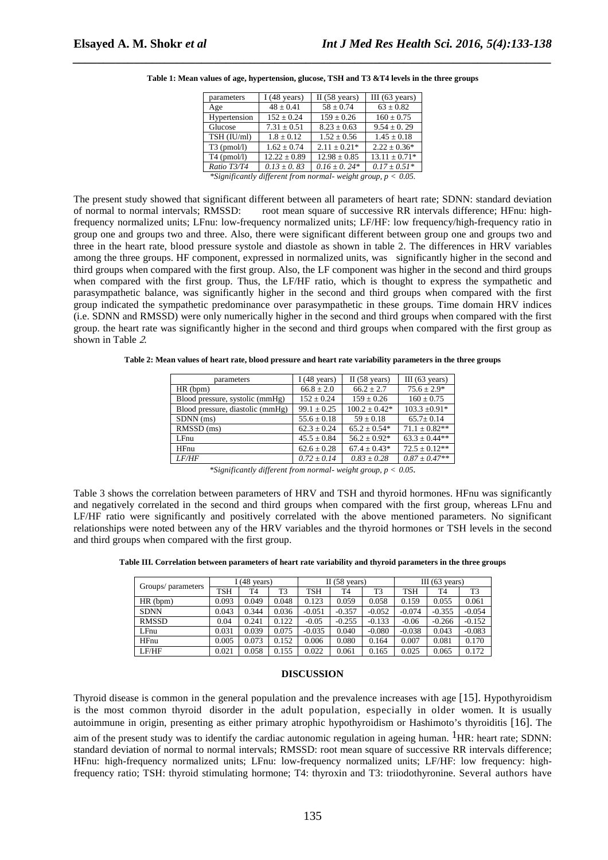| parameters    | I $(48 \text{ years})$                                                                                                                                                                                                                                                                                                                                      | $II(58 \text{ years})$ | III $(63 \text{ years})$ |
|---------------|-------------------------------------------------------------------------------------------------------------------------------------------------------------------------------------------------------------------------------------------------------------------------------------------------------------------------------------------------------------|------------------------|--------------------------|
| Age           | $48 \pm 0.41$                                                                                                                                                                                                                                                                                                                                               | $58 \pm 0.74$          | $63 \pm 0.82$            |
| Hypertension  | $152 \pm 0.24$                                                                                                                                                                                                                                                                                                                                              | $159 \pm 0.26$         | $160 \pm 0.75$           |
| Glucose       | $7.31 \pm 0.51$                                                                                                                                                                                                                                                                                                                                             | $8.23 \pm 0.63$        | $9.54 + 0.29$            |
| TSH (IU/ml)   | $1.8 \pm 0.12$                                                                                                                                                                                                                                                                                                                                              | $1.52 + 0.56$          | $1.45 \pm 0.18$          |
| $T3$ (pmol/l) | $1.62 \pm 0.74$                                                                                                                                                                                                                                                                                                                                             | $2.11 \pm 0.21*$       | $2.22 \pm 0.36^*$        |
| $T4$ (pmol/l) | $12.22 \pm 0.89$                                                                                                                                                                                                                                                                                                                                            | $12.98 + 0.85$         | $13.11 + 0.71*$          |
| Ratio T3/T4   | $0.13 \pm 0.83$                                                                                                                                                                                                                                                                                                                                             | $0.16 \pm 0.24*$       | $0.17 + 0.51*$           |
|               | $\mathcal{L}$ $\mathcal{L}$ $\mathcal{L}$ $\mathcal{L}$ $\mathcal{L}$ $\mathcal{L}$ $\mathcal{L}$ $\mathcal{L}$ $\mathcal{L}$ $\mathcal{L}$ $\mathcal{L}$ $\mathcal{L}$ $\mathcal{L}$ $\mathcal{L}$ $\mathcal{L}$ $\mathcal{L}$ $\mathcal{L}$ $\mathcal{L}$ $\mathcal{L}$ $\mathcal{L}$ $\mathcal{L}$ $\mathcal{L}$ $\mathcal{L}$ $\mathcal{L}$ $\mathcal{$ |                        |                          |

**Table 1: Mean values of age, hypertension, glucose, TSH and T3 &T4 levels in the three groups** 

*\_\_\_\_\_\_\_\_\_\_\_\_\_\_\_\_\_\_\_\_\_\_\_\_\_\_\_\_\_\_\_\_\_\_\_\_\_\_\_\_\_\_\_\_\_\_\_\_\_\_\_\_\_\_\_\_\_\_\_\_\_\_\_\_\_\_\_\_\_\_\_\_\_\_\_\_\_\_*

*\*Significantly different from normal- weight group, p < 0.05.* 

The present study showed that significant different between all parameters of heart rate; SDNN: standard deviation of normal to normal intervals; RMSSD: root mean square of successive RR intervals difference; HFnu: highfrequency normalized units; LFnu: low-frequency normalized units; LF/HF: low frequency/high-frequency ratio in group one and groups two and three. Also, there were significant different between group one and groups two and three in the heart rate, blood pressure systole and diastole as shown in table 2. The differences in HRV variables among the three groups. HF component, expressed in normalized units, was significantly higher in the second and third groups when compared with the first group. Also, the LF component was higher in the second and third groups when compared with the first group. Thus, the LF/HF ratio, which is thought to express the sympathetic and parasympathetic balance, was significantly higher in the second and third groups when compared with the first group indicated the sympathetic predominance over parasympathetic in these groups. Time domain HRV indices (i.e. SDNN and RMSSD) were only numerically higher in the second and third groups when compared with the first group. the heart rate was significantly higher in the second and third groups when compared with the first group as shown in Table 2.

**Table 2: Mean values of heart rate, blood pressure and heart rate variability parameters in the three groups** 

| parameters                       | I $(48 \text{ years})$ | $II(58 \text{ years})$ | III $(63 \text{ years})$ |  |
|----------------------------------|------------------------|------------------------|--------------------------|--|
| HR (bpm)                         | $66.8 + 2.0$           | $66.2 + 2.7$           | $75.6 \pm 2.9*$          |  |
| Blood pressure, systolic (mmHg)  | $152 + 0.24$           | $159 + 0.26$           | $160 \pm 0.75$           |  |
| Blood pressure, diastolic (mmHg) | $99.1 \pm 0.25$        | $100.2 + 0.42*$        | $103.3 \pm 0.91*$        |  |
| SDNN (ms)                        | $55.6 \pm 0.18$        | $59 + 0.18$            | $65.7 + 0.14$            |  |
| RMSSD (ms)                       | $62.3 + 0.24$          | $65.2 + 0.54*$         | $71.1 + 0.82**$          |  |
| LFnu                             | $45.5 + 0.84$          | $56.2 + 0.92*$         | $63.3 + 0.44**$          |  |
| HFnu                             | $62.6 \pm 0.28$        | $67.4 \pm 0.43*$       | $72.5 + 0.12**$          |  |
| <i>LF/HF</i>                     | $0.72 + 0.14$          | $0.83 + 0.28$          | $0.87 \pm 0.47**$        |  |

*<sup>\*</sup>Significantly different from normal- weight group, p < 0.05.* 

Table 3 shows the correlation between parameters of HRV and TSH and thyroid hormones. HFnu was significantly and negatively correlated in the second and third groups when compared with the first group, whereas LFnu and LF/HF ratio were significantly and positively correlated with the above mentioned parameters. No significant relationships were noted between any of the HRV variables and the thyroid hormones or TSH levels in the second and third groups when compared with the first group.

**Table III. Correlation between parameters of heart rate variability and thyroid parameters in the three groups** 

| Groups/ parameters | I $(48 \text{ years})$ |                | $\Pi$ (58 years) |          | $(63 \text{ years})$<br>Ш |                |            |                |                |
|--------------------|------------------------|----------------|------------------|----------|---------------------------|----------------|------------|----------------|----------------|
|                    | <b>TSH</b>             | T <sub>4</sub> | T <sub>3</sub>   | TSH      | T <sub>4</sub>            | T <sub>3</sub> | <b>TSH</b> | T <sub>4</sub> | T <sub>3</sub> |
| HR (bpm)           | 0.093                  | 0.049          | 0.048            | 0.123    | 0.059                     | 0.058          | 0.159      | 0.055          | 0.061          |
| <b>SDNN</b>        | 0.043                  | 0.344          | 0.036            | $-0.051$ | $-0.357$                  | $-0.052$       | $-0.074$   | $-0.355$       | $-0.054$       |
| <b>RMSSD</b>       | 0.04                   | 0.241          | 0.122            | $-0.05$  | $-0.255$                  | $-0.133$       | $-0.06$    | $-0.266$       | $-0.152$       |
| LFnu               | 0.031                  | 0.039          | 0.075            | $-0.035$ | 0.040                     | $-0.080$       | $-0.038$   | 0.043          | $-0.083$       |
| HFnu               | 0.005                  | 0.073          | 0.152            | 0.006    | 0.080                     | 0.164          | 0.007      | 0.081          | 0.170          |
| LF/HF              | 0.021                  | 0.058          | 0.155            | 0.022    | 0.061                     | 0.165          | 0.025      | 0.065          | 0.172          |

#### **DISCUSSION**

Thyroid disease is common in the general population and the prevalence increases with age [15]. Hypothyroidism is the most common thyroid disorder in the adult population, especially in older women. It is usually autoimmune in origin, presenting as either primary atrophic hypothyroidism or Hashimoto's thyroiditis [16]. The aim of the present study was to identify the cardiac autonomic regulation in ageing human. <sup>1</sup>HR: heart rate; SDNN:

standard deviation of normal to normal intervals; RMSSD: root mean square of successive RR intervals difference; HFnu: high-frequency normalized units; LFnu: low-frequency normalized units; LF/HF: low frequency: highfrequency ratio; TSH: thyroid stimulating hormone; T4: thyroxin and T3: triiodothyronine. Several authors have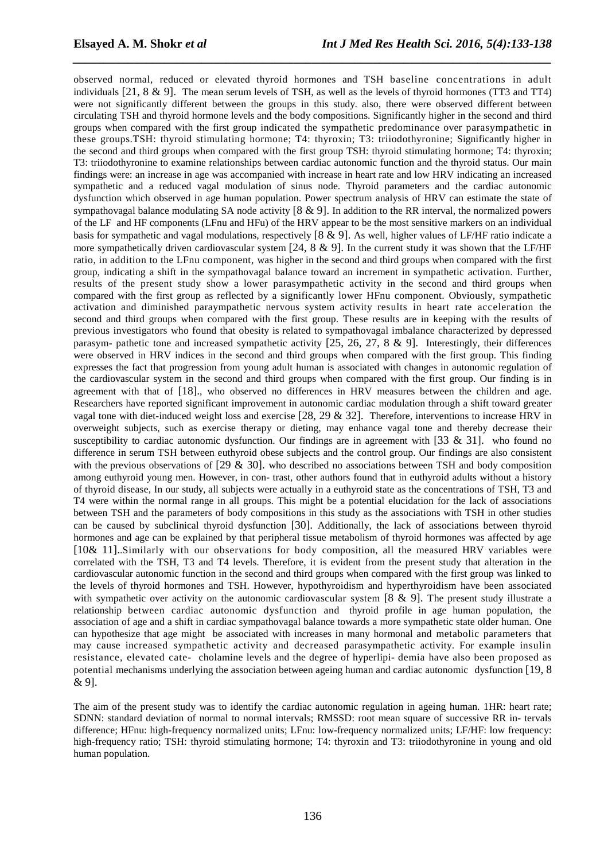observed normal, reduced or elevated thyroid hormones and TSH baseline concentrations in adult individuals  $[21, 8 \& 9]$ . The mean serum levels of TSH, as well as the levels of thyroid hormones (TT3 and TT4) were not significantly different between the groups in this study. also, there were observed different between circulating TSH and thyroid hormone levels and the body compositions. Significantly higher in the second and third groups when compared with the first group indicated the sympathetic predominance over parasympathetic in these groups.TSH: thyroid stimulating hormone; T4: thyroxin; T3: triiodothyronine; Significantly higher in the second and third groups when compared with the first group TSH: thyroid stimulating hormone; T4: thyroxin; T3: triiodothyronine to examine relationships between cardiac autonomic function and the thyroid status. Our main findings were: an increase in age was accompanied with increase in heart rate and low HRV indicating an increased sympathetic and a reduced vagal modulation of sinus node. Thyroid parameters and the cardiac autonomic dysfunction which observed in age human population. Power spectrum analysis of HRV can estimate the state of sympathovagal balance modulating SA node activity  $[8 \& 9]$ . In addition to the RR interval, the normalized powers of the LF and HF components (LFnu and HFu) of the HRV appear to be the most sensitive markers on an individual basis for sympathetic and vagal modulations, respectively [8 & 9]. As well, higher values of LF/HF ratio indicate a more sympathetically driven cardiovascular system  $[24, 8 \& 9]$ . In the current study it was shown that the LF/HF ratio, in addition to the LFnu component, was higher in the second and third groups when compared with the first group, indicating a shift in the sympathovagal balance toward an increment in sympathetic activation. Further, results of the present study show a lower parasympathetic activity in the second and third groups when compared with the first group as reflected by a significantly lower HFnu component. Obviously, sympathetic activation and diminished paraympathetic nervous system activity results in heart rate acceleration the second and third groups when compared with the first group. These results are in keeping with the results of previous investigators who found that obesity is related to sympathovagal imbalance characterized by depressed parasym- pathetic tone and increased sympathetic activity  $[25, 26, 27, 8, 8, 9]$ . Interestingly, their differences were observed in HRV indices in the second and third groups when compared with the first group. This finding expresses the fact that progression from young adult human is associated with changes in autonomic regulation of the cardiovascular system in the second and third groups when compared with the first group. Our finding is in agreement with that of [18]., who observed no differences in HRV measures between the children and age. Researchers have reported significant improvement in autonomic cardiac modulation through a shift toward greater vagal tone with diet-induced weight loss and exercise  $[28, 29, 29, 32]$ . Therefore, interventions to increase HRV in overweight subjects, such as exercise therapy or dieting, may enhance vagal tone and thereby decrease their susceptibility to cardiac autonomic dysfunction. Our findings are in agreement with [33  $\&$  31]. who found no difference in serum TSH between euthyroid obese subjects and the control group. Our findings are also consistent with the previous observations of [29 & 30]. who described no associations between TSH and body composition among euthyroid young men. However, in con- trast, other authors found that in euthyroid adults without a history of thyroid disease, In our study, all subjects were actually in a euthyroid state as the concentrations of TSH, T3 and T4 were within the normal range in all groups. This might be a potential elucidation for the lack of associations between TSH and the parameters of body compositions in this study as the associations with TSH in other studies can be caused by subclinical thyroid dysfunction [30]. Additionally, the lack of associations between thyroid hormones and age can be explained by that peripheral tissue metabolism of thyroid hormones was affected by age [10& 11]..Similarly with our observations for body composition, all the measured HRV variables were correlated with the TSH, T3 and T4 levels. Therefore, it is evident from the present study that alteration in the cardiovascular autonomic function in the second and third groups when compared with the first group was linked to the levels of thyroid hormones and TSH. However, hypothyroidism and hyperthyroidism have been associated with sympathetic over activity on the autonomic cardiovascular system  $[8 \& 9]$ . The present study illustrate a relationship between cardiac autonomic dysfunction and thyroid profile in age human population, the association of age and a shift in cardiac sympathovagal balance towards a more sympathetic state older human. One can hypothesize that age might be associated with increases in many hormonal and metabolic parameters that may cause increased sympathetic activity and decreased parasympathetic activity. For example insulin resistance, elevated cate- cholamine levels and the degree of hyperlipi- demia have also been proposed as potential mechanisms underlying the association between ageing human and cardiac autonomic dysfunction [19, 8 & 9].

*\_\_\_\_\_\_\_\_\_\_\_\_\_\_\_\_\_\_\_\_\_\_\_\_\_\_\_\_\_\_\_\_\_\_\_\_\_\_\_\_\_\_\_\_\_\_\_\_\_\_\_\_\_\_\_\_\_\_\_\_\_\_\_\_\_\_\_\_\_\_\_\_\_\_\_\_\_\_*

The aim of the present study was to identify the cardiac autonomic regulation in ageing human. 1HR: heart rate; SDNN: standard deviation of normal to normal intervals; RMSSD: root mean square of successive RR in- tervals difference; HFnu: high-frequency normalized units; LFnu: low-frequency normalized units; LF/HF: low frequency: high-frequency ratio; TSH: thyroid stimulating hormone; T4: thyroxin and T3: triiodothyronine in young and old human population.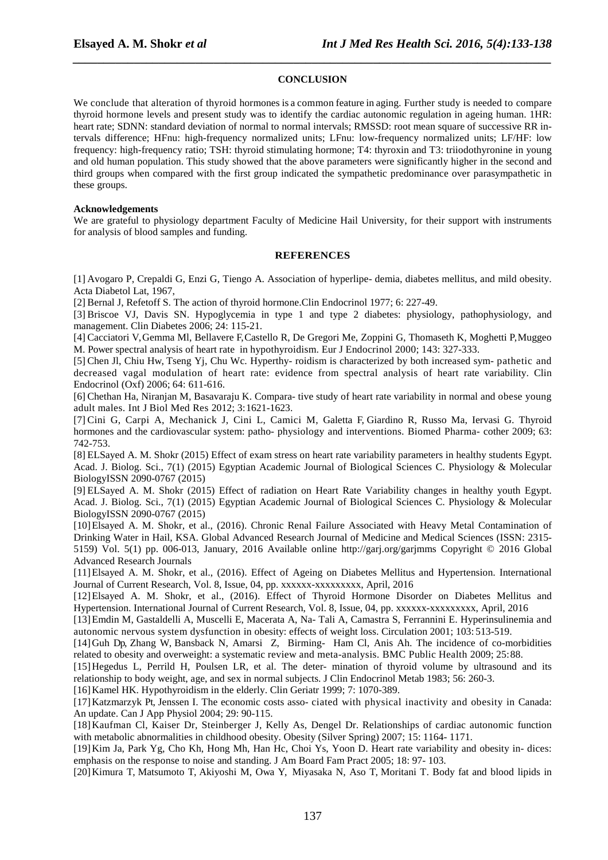# **CONCLUSION**

*\_\_\_\_\_\_\_\_\_\_\_\_\_\_\_\_\_\_\_\_\_\_\_\_\_\_\_\_\_\_\_\_\_\_\_\_\_\_\_\_\_\_\_\_\_\_\_\_\_\_\_\_\_\_\_\_\_\_\_\_\_\_\_\_\_\_\_\_\_\_\_\_\_\_\_\_\_\_*

We conclude that alteration of thyroid hormones is a common feature in aging. Further study is needed to compare thyroid hormone levels and present study was to identify the cardiac autonomic regulation in ageing human. 1HR: heart rate; SDNN: standard deviation of normal to normal intervals; RMSSD: root mean square of successive RR intervals difference; HFnu: high-frequency normalized units; LFnu: low-frequency normalized units; LF/HF: low frequency: high-frequency ratio; TSH: thyroid stimulating hormone; T4: thyroxin and T3: triiodothyronine in young and old human population. This study showed that the above parameters were significantly higher in the second and third groups when compared with the first group indicated the sympathetic predominance over parasympathetic in these groups.

## **Acknowledgements**

We are grateful to physiology department Faculty of Medicine Hail University, for their support with instruments for analysis of blood samples and funding.

### **REFERENCES**

[1] Avogaro P, Crepaldi G, Enzi G, Tiengo A. Association of hyperlipe- demia, diabetes mellitus, and mild obesity. Acta Diabetol Lat, 1967,

[2] Bernal J, Refetoff S. The action of thyroid hormone.Clin Endocrinol 1977; 6: 227-49.

[3] Briscoe VJ, Davis SN. Hypoglycemia in type 1 and type 2 diabetes: physiology, pathophysiology, and management. Clin Diabetes 2006; 24: 115-21.

[4] Cacciatori V, Gemma Ml, Bellavere F, Castello R, De Gregori Me, Zoppini G, Thomaseth K, Moghetti P, Muggeo M. Power spectral analysis of heart rate in hypothyroidism. Eur J Endocrinol 2000; 143: 327-333.

[5] Chen Jl, Chiu Hw, Tseng Yj, Chu Wc. Hyperthy- roidism is characterized by both increased sym- pathetic and decreased vagal modulation of heart rate: evidence from spectral analysis of heart rate variability. Clin Endocrinol (Oxf) 2006; 64: 611-616.

[6] Chethan Ha, Niranjan M, Basavaraju K. Compara- tive study of heart rate variability in normal and obese young adult males. Int J Biol Med Res 2012; 3: 1621-1623.

[7] Cini G, Carpi A, Mechanick J, Cini L, Camici M, Galetta F, Giardino R, Russo Ma, Iervasi G. Thyroid hormones and the cardiovascular system: patho- physiology and interventions. Biomed Pharma- cother 2009; 63: 742-753.

[8] ELSayed A. M. Shokr (2015) Effect of exam stress on heart rate variability parameters in healthy students Egypt. Acad. J. Biolog. Sci., 7(1) (2015) Egyptian Academic Journal of Biological Sciences C. Physiology & Molecular BiologyISSN 2090-0767 (2015)

[9] ELSayed A. M. Shokr (2015) Effect of radiation on Heart Rate Variability changes in healthy youth Egypt. Acad. J. Biolog. Sci., 7(1) (2015) Egyptian Academic Journal of Biological Sciences C. Physiology & Molecular BiologyISSN 2090-0767 (2015)

[10]Elsayed A. M. Shokr, et al., (2016). Chronic Renal Failure Associated with Heavy Metal Contamination of Drinking Water in Hail, KSA. Global Advanced Research Journal of Medicine and Medical Sciences (ISSN: 2315- 5159) Vol. 5(1) pp. 006-013, January, 2016 Available online http://garj.org/garjmms Copyright © 2016 Global Advanced Research Journals

[11]Elsayed A. M. Shokr, et al., (2016). Effect of Ageing on Diabetes Mellitus and Hypertension. International Journal of Current Research, Vol. 8, Issue, 04, pp. xxxxxx-xxxxxxxxx, April, 2016

[12]Elsayed A. M. Shokr, et al., (2016). Effect of Thyroid Hormone Disorder on Diabetes Mellitus and Hypertension. International Journal of Current Research, Vol. 8, Issue, 04, pp. xxxxxx-xxxxxxxxx, April, 2016

[13]Emdin M, Gastaldelli A, Muscelli E, Macerata A, Na- Tali A, Camastra S, Ferrannini E. Hyperinsulinemia and autonomic nervous system dysfunction in obesity: effects of weight loss. Circulation 2001; 103: 513-519.

[14]Guh Dp, Zhang W, Bansback N, Amarsi Z, Birming- Ham Cl, Anis Ah. The incidence of co-morbidities related to obesity and overweight: a systematic review and meta-analysis. BMC Public Health 2009; 25: 88.

[15]Hegedus L, Perrild H, Poulsen LR, et al. The deter- mination of thyroid volume by ultrasound and its relationship to body weight, age, and sex in normal subjects. J Clin Endocrinol Metab 1983; 56: 260-3.

[16] Kamel HK. Hypothyroidism in the elderly. Clin Geriatr 1999; 7: 1070-389.

[17]Katzmarzyk Pt, Jenssen I. The economic costs asso- ciated with physical inactivity and obesity in Canada: An update. Can J App Physiol 2004; 29: 90-115.

[18]Kaufman Cl, Kaiser Dr, Steinberger J, Kelly As, Dengel Dr. Relationships of cardiac autonomic function with metabolic abnormalities in childhood obesity. Obesity (Silver Spring) 2007; 15: 1164- 1171.

[19]Kim Ja, Park Yg, Cho Kh, Hong Mh, Han Hc, Choi Ys, Yoon D. Heart rate variability and obesity in- dices: emphasis on the response to noise and standing. J Am Board Fam Pract 2005; 18: 97- 103.

[20]Kimura T, Matsumoto T, Akiyoshi M, Owa Y, Miyasaka N, Aso T, Moritani T. Body fat and blood lipids in